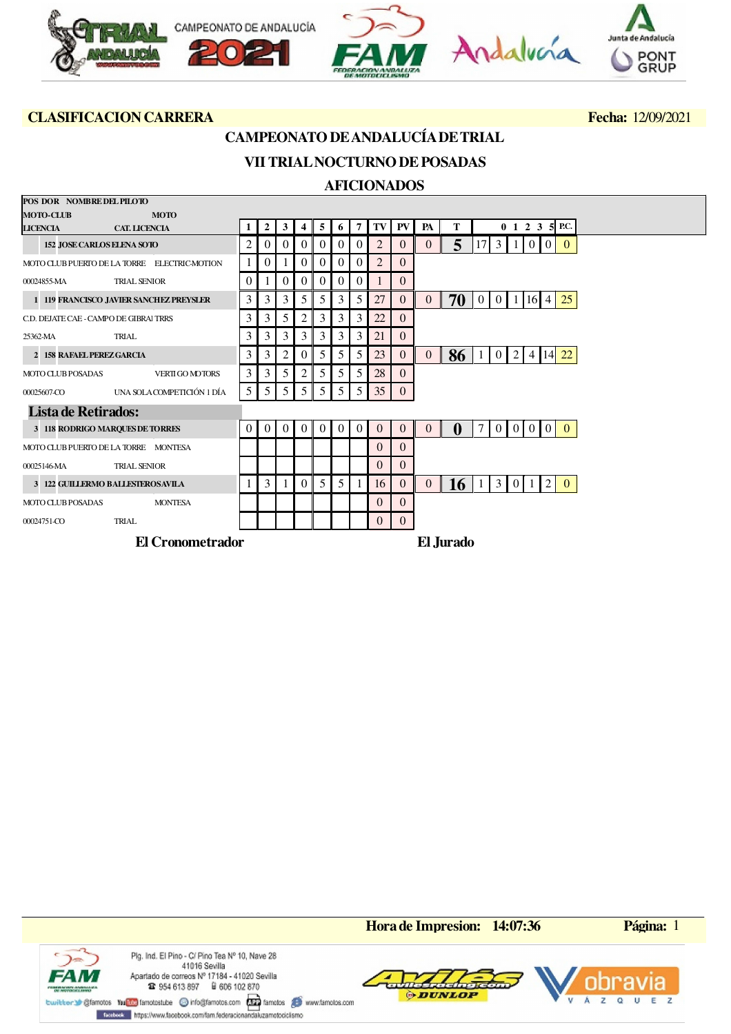

## **CAMPEONATO DE ANDALUCÍA DE TRIAL**

# **VII TRIAL NOCTURNO DE POSADAS**

### **AFICIONADOS**

| POS DOR NOMBRE DEL PILOTO              |                                                 |          |          |                |                |          |                |                |                |           |                |              |                |                |   |                |                   |          |                          |  |
|----------------------------------------|-------------------------------------------------|----------|----------|----------------|----------------|----------|----------------|----------------|----------------|-----------|----------------|--------------|----------------|----------------|---|----------------|-------------------|----------|--------------------------|--|
| <b>MOTO-CLUB</b>                       | <b>MOTO</b>                                     |          |          |                |                |          |                |                |                |           |                |              |                |                |   |                |                   |          |                          |  |
| <b>LICENCIA</b>                        | <b>CAT. LICENCIA</b>                            |          | 2        | 3              |                | 5        | 6              | 7              | TV             | <b>PV</b> | PA             | т            |                |                |   |                |                   |          | $0 \t1 \t2 \t3 \t5$ P.C. |  |
| <b>152 JOSE CARLOS ELENA SOTO</b>      |                                                 | 2        |          |                | 0              | 0        | $\theta$       | $\Omega$       | $\overline{2}$ | $\theta$  | $\Omega$       | 5            |                | 3 <sup>1</sup> |   |                | $\theta$          | $\Omega$ | $\Omega$                 |  |
|                                        | MOTO CLUB PUERTO DE LA TORRE ELECTRIC-MOTION    |          |          |                |                | $\Omega$ | $\theta$       | $\Omega$       | $\overline{2}$ | $\Omega$  |                |              |                |                |   |                |                   |          |                          |  |
| 00024855-MA                            | <b>TRIAL SENIOR</b>                             | $\Omega$ |          | 0              | 0              | $\Omega$ | $\theta$       | $\Omega$       |                | $\Omega$  |                |              |                |                |   |                |                   |          |                          |  |
|                                        | 1 119 FRANCISCO JAVIER SANCHEZ PREYSLER         | 3        | 3        | 3              | $\mathfrak{H}$ | 5        | 3              | 5              | 27             | $\theta$  | $\overline{0}$ | 70           | $\overline{0}$ | $\overline{0}$ |   |                | 1 16 4            |          | 25                       |  |
| C.D. DEJATE CAE - CAMPO DE GIBRAI TRRS |                                                 | 3        | 3        | 5              | 2              | 3        | 3              | 3              | 22             | $\Omega$  |                |              |                |                |   |                |                   |          |                          |  |
| 25362-MA                               | TRIAL                                           | 3        | 3        | 3              | 3              | 3        | 3              | 3              | 21             | $\Omega$  |                |              |                |                |   |                |                   |          |                          |  |
| 2 158 RAFAEL PEREZ GARCIA              |                                                 | 3        | 3        | 2              | 0              | 5        | 5              | 5              | 23             | $\Omega$  | $\Omega$       | 86           |                | $\Omega$       | 2 |                | 4                 | 14I      | 22                       |  |
| <b>MOTO CLUB POSADAS</b>               | <b>VERTI GO MOTORS</b>                          | 3        | 3        | 5              | 2              | 5        | 5              | 5              | 28             | $\Omega$  |                |              |                |                |   |                |                   |          |                          |  |
| 00025607-CO                            | UNA SOLA COMPETICIÓN 1 DÍA                      | 5        | 5        | 5              | $\mathcal{F}$  | 5        | 5              | 5 <sup>5</sup> | 35             | $\Omega$  |                |              |                |                |   |                |                   |          |                          |  |
| <b>Lista de Retirados:</b>             |                                                 |          |          |                |                |          |                |                |                |           |                |              |                |                |   |                |                   |          |                          |  |
| 3 118 RODRIGO MARQUES DE TORRES        |                                                 | $\Omega$ | $\left($ | $\overline{0}$ | $\Omega$       | $\Omega$ | $\Omega$       | $\theta$       | $\Omega$       | $\Omega$  | $\Omega$       | $\mathbf{0}$ | 71             | $\overline{0}$ |   |                | $0 \mid 0 \mid 0$ |          | $\Omega$                 |  |
|                                        | MOTO CLUB PUERTO DE LA TORRE MONTESA            |          |          |                |                |          |                |                | $\Omega$       | $\Omega$  |                |              |                |                |   |                |                   |          |                          |  |
| 00025146-MA                            | <b>TRIAL SENIOR</b>                             |          |          |                |                |          |                |                | $\Omega$       | $\Omega$  |                |              |                |                |   |                |                   |          |                          |  |
|                                        | <b>3 122 GUILLERMO BALLESTEROSAVILA</b>         |          | 3        |                | $\Omega$       | 5        | 5 <sup>5</sup> |                | 16             | $\Omega$  | $\Omega$       | 16           |                | 3 <sup>1</sup> |   | 0 <sup>1</sup> |                   | 2        | $\Omega$                 |  |
| <b>MOTO CLUB POSADAS</b>               | <b>MONTESA</b>                                  |          |          |                |                |          |                |                | $\Omega$       | $\Omega$  |                |              |                |                |   |                |                   |          |                          |  |
| 00024751-CO                            | TRIAL                                           |          |          |                |                |          |                |                | $\Omega$       | $\Omega$  |                |              |                |                |   |                |                   |          |                          |  |
|                                        | $\mathbf{E} \mathbf{I} \mathbf{A}$ $\mathbf{I}$ |          |          |                |                |          |                |                |                |           | <b>DIT</b>     |              |                |                |   |                |                   |          |                          |  |

**El Cronometrador El Jurado**

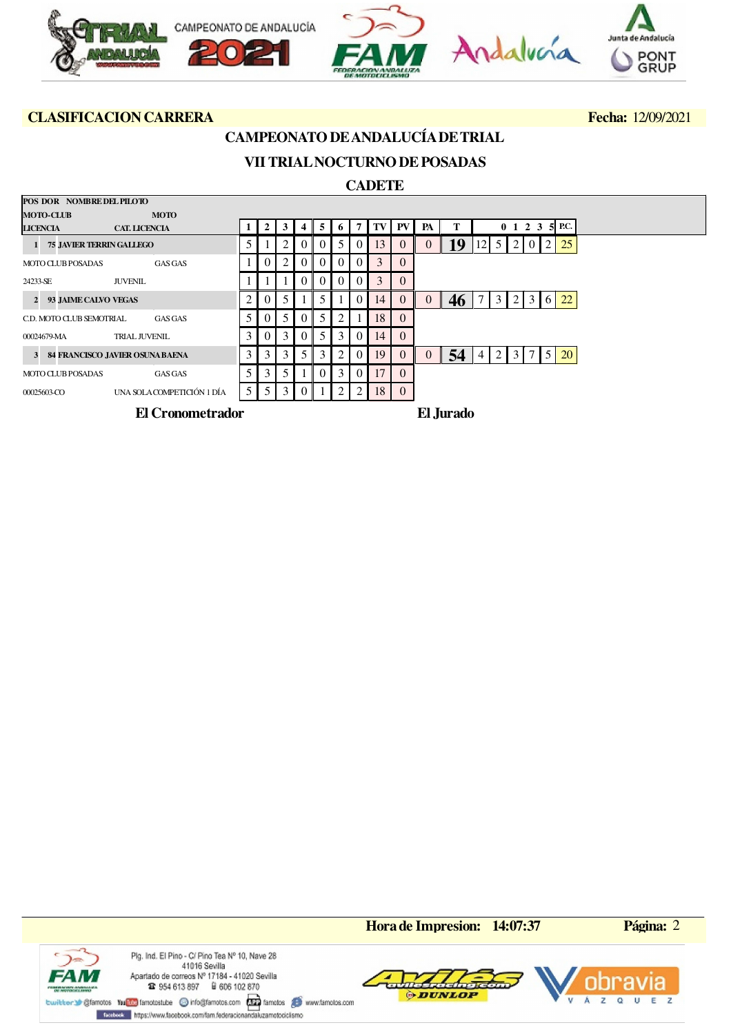

**POS DOR NOMBRE DEL PILOTO**

# **CAMPEONATO DE ANDALUCÍA DE TRIAL**

# **VII TRIAL NOCTURNO DE POSADAS**

### **CADETE**

| POS DOR NOMBREDEL PILO IO  |                                   |                |                |                |          |                |                |          |    |           |    |           |                                                         |
|----------------------------|-----------------------------------|----------------|----------------|----------------|----------|----------------|----------------|----------|----|-----------|----|-----------|---------------------------------------------------------|
| <b>MOTO-CLUB</b>           | <b>MOTO</b>                       |                |                |                |          |                |                |          |    |           |    |           |                                                         |
| <b>LICENCIA</b>            | <b>CAT. LICENCIA</b>              |                | 2              | 3              | 4        | 5 <sup>1</sup> | 6 <sup>1</sup> | 7        | TV | <b>PV</b> | PA | т         | 5 P.C.<br>$0 \t1 \t2 \t3$                               |
| 1 75 JAVIER TERRIN GALLEGO |                                   | 5 <sup>1</sup> |                |                | 0        | $\Omega$       | 5 <sup>1</sup> | $\Omega$ | 13 |           |    | 19        | 25<br>2<br>$12$ 5<br>2<br>$\Omega$                      |
| <b>MOTO CLUB POSADAS</b>   | GAS GAS                           |                |                |                |          |                | $\Omega$       |          | 3  |           |    |           |                                                         |
| 24233-SE                   | <b>JUVENIL</b>                    |                |                |                |          | $\Omega$       | $\Omega$       |          | 3  |           |    |           |                                                         |
| 2 93 JAIME CALVO VEGAS     |                                   |                |                |                |          |                |                | $\Omega$ | 14 | $\theta$  |    | 46        | 22<br>7<br>3 <sup>1</sup><br>3<br>2<br>6                |
| C.D. MOTO CLUB SEMOTRIAL   | <b>GAS GAS</b>                    |                |                |                |          |                |                |          | 18 |           |    |           |                                                         |
| 00024679-MA                | <b>TRIAL JUVENIL</b>              | $\mathcal{E}$  | 0              | $\mathcal{E}$  | $\Omega$ | 5              | $\mathcal{E}$  | $\Omega$ | 14 | $\Omega$  |    |           |                                                         |
|                            | 3 84 FRANCISCO JAVIER OSUNA BAENA |                | 3 <sup>1</sup> | 3 <sup>1</sup> | 5        | 3              | 2              | $\theta$ | 19 |           |    | 54        | 5<br><b>20</b><br>$\overline{2}$<br>3<br>4 <sub>1</sub> |
| <b>MOTO CLUB POSADAS</b>   | GAS GAS                           |                |                |                |          |                | 3              | $\Omega$ | 17 |           |    |           |                                                         |
| 00025603-CO                | UNA SOLACOMPETICIÓN 1 DÍA         | 5 <sup>1</sup> | 5 <sup>1</sup> | 3              |          |                | 2              | 2        | 18 | $\theta$  |    |           |                                                         |
|                            | El Cronometrador                  |                |                |                |          |                |                |          |    |           |    | El Jurado |                                                         |

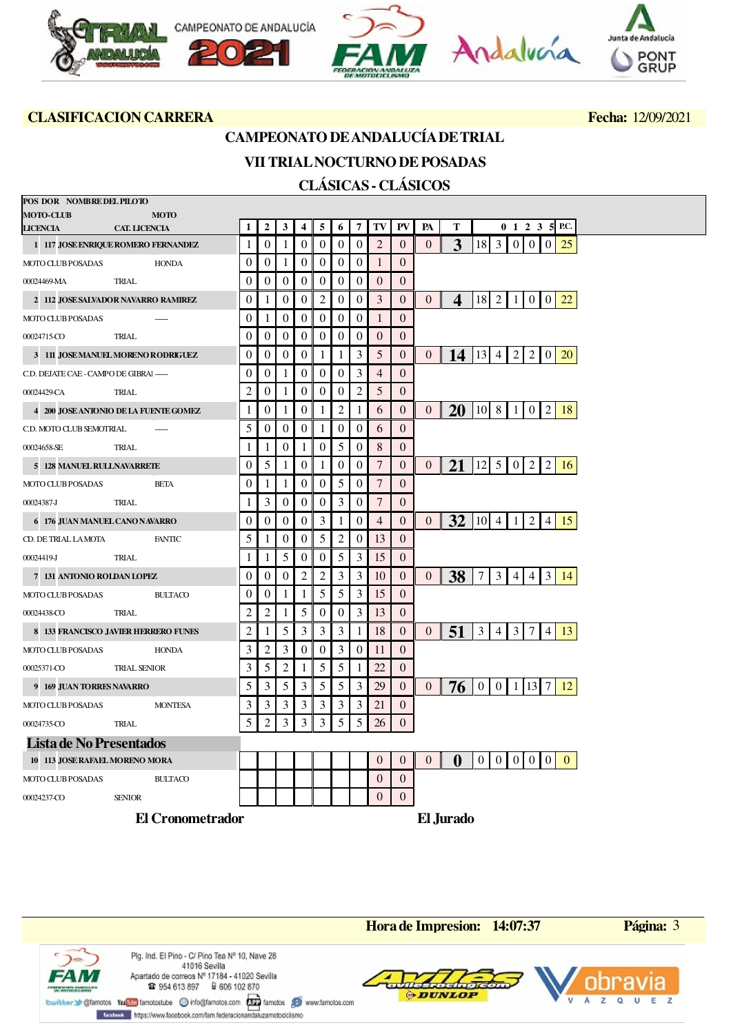

## **CAMPEONATO DE ANDALUCÍA DE TRIAL**

### **VII TRIAL NOCTURNO DE POSADAS CLÁSICAS - CLÁSICOS**

| POS DOR NOMBRE DEL PILOTO             |                      |                         |                  |                                                                                                                                                                 |                  |                  |                |                |                  |                |                  |                |                         |                                  |                          |                 |                |              |  |
|---------------------------------------|----------------------|-------------------------|------------------|-----------------------------------------------------------------------------------------------------------------------------------------------------------------|------------------|------------------|----------------|----------------|------------------|----------------|------------------|----------------|-------------------------|----------------------------------|--------------------------|-----------------|----------------|--------------|--|
| <b>MOTO-CLUB</b>                      | <b>MOTO</b>          |                         |                  |                                                                                                                                                                 |                  |                  |                |                |                  |                |                  |                |                         |                                  |                          |                 |                |              |  |
| <b>LICENCIA</b>                       | <b>CAT. LICENCIA</b> |                         | 1                | $\overline{2}$                                                                                                                                                  | 3                | $\overline{4}$   | 5              | 6              | 7                | TV             | PV               | PA             | Т                       |                                  | $0 \t1 \t2 \t3 \t5$ P.C. |                 |                |              |  |
| 1 117 JOSE ENRIQUE ROMERO FERNANDEZ   |                      |                         | 1                | $\theta$                                                                                                                                                        |                  | $\theta$         | $\Omega$       | $\Omega$       | $\theta$         | $\overline{2}$ | $\overline{0}$   | $\Omega$       | 3                       | $18$   3                         | $\overline{0}$           | $\overline{0}$  | $\overline{0}$ | 25           |  |
| MOTO CLUB POSADAS                     |                      | <b>HONDA</b>            | $\theta$         | $\Omega$                                                                                                                                                        | 1                | $\theta$         | $\overline{0}$ | $\overline{0}$ | $\overline{0}$   | $\mathbf{1}$   | $\overline{0}$   |                |                         |                                  |                          |                 |                |              |  |
| 00024469-MA                           | <b>TRIAL</b>         |                         | $\theta$         | $\boldsymbol{0}$                                                                                                                                                | $\boldsymbol{0}$ | $\boldsymbol{0}$ | $\overline{0}$ | $\overline{0}$ | $\boldsymbol{0}$ | $\theta$       | $\overline{0}$   |                |                         |                                  |                          |                 |                |              |  |
| 2 112 JOSE SALVADOR NAVARRO RAMIREZ   |                      |                         | $\boldsymbol{0}$ | 1                                                                                                                                                               | $\theta$         | $\Omega$         | 2              | $\overline{0}$ | $\overline{0}$   | 3              | 0                | $\overline{0}$ | $\boldsymbol{4}$        | 18 2 1                           |                          | 0 <sup>10</sup> |                | 22           |  |
| <b>MOTO CLUB POSADAS</b>              |                      |                         | $\theta$         |                                                                                                                                                                 | $\Omega$         | $\Omega$         | $\overline{0}$ | $\overline{0}$ | $\overline{0}$   | $\mathbf{1}$   | $\overline{0}$   |                |                         |                                  |                          |                 |                |              |  |
| 00024715-CO                           | <b>TRIAL</b>         |                         | $\boldsymbol{0}$ | $\boldsymbol{0}$                                                                                                                                                | $\overline{0}$   | $\overline{0}$   | $\overline{0}$ | $\overline{0}$ | $\overline{0}$   | $\mathbf{0}$   | $\overline{0}$   |                |                         |                                  |                          |                 |                |              |  |
| 3 111 JOSE MANUEL MORENO RODRIGUEZ    |                      |                         | $\boldsymbol{0}$ | $\theta$                                                                                                                                                        | 0                | $\Omega$         | $\mathbf{1}$   | $\mathbf{1}$   | 3                | 5              | 0                | $\overline{0}$ | $14$   13   4           |                                  | $\vert$ 2                | $2 \mid 0$      |                | <b>20</b>    |  |
| C.D. DEJATE CAE - CAMPO DE GIBRAI -   |                      |                         | $\theta$         | $\theta$                                                                                                                                                        | 1                | $\overline{0}$   | $\overline{0}$ | $\overline{0}$ | 3                | $\overline{4}$ | $\overline{0}$   |                |                         |                                  |                          |                 |                |              |  |
| 00024429-CA                           | TRIAL                |                         | 2                | $\theta$                                                                                                                                                        | -1               | $\overline{0}$   | $\overline{0}$ | $\overline{0}$ | $\overline{2}$   | 5              | $\overline{0}$   |                |                         |                                  |                          |                 |                |              |  |
| 4 200 JOSE ANIONIO DE LA FUENTE GOMEZ |                      |                         | 1                | $\theta$                                                                                                                                                        | 1                | $\theta$         | $\mathbf{1}$   | $\overline{c}$ | $\mathbf{1}$     | 6              | $\overline{0}$   | $\overline{0}$ | 20   10   8   1   0   2 |                                  |                          |                 |                | 18           |  |
| C.D. MOTO CLUB SEMOTRIAL              |                      |                         | 5                | $\theta$                                                                                                                                                        | $\theta$         | $\theta$         | 1              | $\overline{0}$ | $\overline{0}$   | 6              | $\overline{0}$   |                |                         |                                  |                          |                 |                |              |  |
| 00024658-SE                           | TRIAL                |                         | 1                |                                                                                                                                                                 | 0                | 1                | $\theta$       | 5              | $\overline{0}$   | 8              | $\overline{0}$   |                |                         |                                  |                          |                 |                |              |  |
| 5 128 MANUEL RULLNAVARRETE            |                      |                         | $\boldsymbol{0}$ | 5                                                                                                                                                               |                  | $\theta$         | $\mathbf{1}$   | $\overline{0}$ | $\overline{0}$   | $\overline{7}$ | $\overline{0}$   | $\overline{0}$ | 21                      | 12  5   0   2   2                |                          |                 |                | 16           |  |
| <b>MOTO CLUB POSADAS</b>              | <b>BETA</b>          |                         | $\theta$         | 1                                                                                                                                                               | 1                | $\overline{0}$   | $\overline{0}$ | 5              | $\boldsymbol{0}$ | $\overline{7}$ | 0                |                |                         |                                  |                          |                 |                |              |  |
| 00024387-J                            | TRIAL                |                         | 1                | 3                                                                                                                                                               | $\theta$         | $\overline{0}$   | $\overline{0}$ | 3              | $\overline{0}$   | 7              | $\overline{0}$   |                |                         |                                  |                          |                 |                |              |  |
| 6 176 JUAN MANUEL CANONAVARRO         |                      |                         | $\boldsymbol{0}$ | $\boldsymbol{0}$                                                                                                                                                | 0                | $\Omega$         | 3              | 1              | $\overline{0}$   | $\overline{4}$ | $\overline{0}$   | $\overline{0}$ | 32  10  4               |                                  | $\vert$ 1                | 2 4             |                | 15           |  |
| CD. DE TRIAL LAMOTA                   |                      | <b>FANTIC</b>           | 5                |                                                                                                                                                                 | $\overline{0}$   | $\theta$         | 5              | $\overline{c}$ | $\overline{0}$   | 13             | $\boldsymbol{0}$ |                |                         |                                  |                          |                 |                |              |  |
| 00024419-J                            | <b>TRIAL</b>         |                         | 1                | 1                                                                                                                                                               | 5                | $\theta$         | $\theta$       | 5              | 3                | 15             | $\overline{0}$   |                |                         |                                  |                          |                 |                |              |  |
| 7 131 ANTONIO ROLDAN LOPEZ            |                      |                         | $\theta$         | $\theta$                                                                                                                                                        | 0                | $\overline{2}$   | 2              | 3              | 3                | 10             | $\overline{0}$   | $\overline{0}$ | 38 <sup>°</sup>         | 7 3 4 4 3                        |                          |                 |                | -14          |  |
| <b>MOTO CLUB POSADAS</b>              |                      | <b>BULTACO</b>          | $\theta$         | $\overline{0}$                                                                                                                                                  | 1                | 1                | 5              | 5              | 3                | 15             | $\overline{0}$   |                |                         |                                  |                          |                 |                |              |  |
| 00024438-CO                           | TRIAL                |                         | 2                | $\overline{2}$                                                                                                                                                  | 1                | 5                | $\overline{0}$ | $\overline{0}$ | 3                | 13             | $\overline{0}$   |                |                         |                                  |                          |                 |                |              |  |
| 8 133 FRANCISCO JAVIER HERRERO FUNES  |                      |                         | 2                | 1                                                                                                                                                               | 5                | 3                | 3              | 3              | 1                | 18             | 0                | $\overline{0}$ | 51                      | 3 4                              | $3 \mid 7 \mid 4$        |                 |                | 13           |  |
| MOTO CLUB POSADAS                     |                      | <b>HONDA</b>            | 3                | 2                                                                                                                                                               | 3                | 0                | $\theta$       | 3              | $\boldsymbol{0}$ | 11             | $\boldsymbol{0}$ |                |                         |                                  |                          |                 |                |              |  |
|                                       |                      |                         |                  |                                                                                                                                                                 | $\overline{2}$   |                  |                | 5              |                  | 22             |                  |                |                         |                                  |                          |                 |                |              |  |
| 00025371-CO                           | <b>TRIAL SENIOR</b>  |                         | 3                | 5                                                                                                                                                               |                  | 1                | 5              |                | $\mathbf{1}$     |                | $\overline{0}$   |                |                         |                                  |                          |                 |                |              |  |
| 9 169 JUAN TORRES NAVARRO             |                      |                         | 5                | 3                                                                                                                                                               | 5                | 3                | 5              | 5              | 3                | 29             | $\overline{0}$   | $\overline{0}$ | 76                      | $0 \mid 0 \mid 1 \mid 13 \mid 7$ |                          |                 |                | 12           |  |
| <b>MOTO CLUB POSADAS</b>              |                      | <b>MONTESA</b>          | 3                | 3                                                                                                                                                               | 3                | 3                | 3              | 3              | 3                | 21             | 0                |                |                         |                                  |                          |                 |                |              |  |
| 00024735-CO                           | TRIAL                |                         | 5                | $\mathcal{D}_{\mathcal{L}}^{\mathcal{L}}(\mathcal{L})=\mathcal{L}_{\mathcal{L}}^{\mathcal{L}}(\mathcal{L})\mathcal{L}_{\mathcal{L}}^{\mathcal{L}}(\mathcal{L})$ | 3                | 3                | 3              | 5              | 5                | 26             | $\Omega$         |                |                         |                                  |                          |                 |                |              |  |
| Lista de No Presentados               |                      |                         |                  |                                                                                                                                                                 |                  |                  |                |                |                  |                |                  |                |                         |                                  |                          |                 |                |              |  |
| 10 113 JOSE RAFAEL MORENO MORA        |                      |                         |                  |                                                                                                                                                                 |                  |                  |                |                |                  | $\theta$       | 0                | $\overline{0}$ | $\bf{0}$                | 0 <sub>1</sub>                   | 0                        | 0 <sup>0</sup>  |                | $\mathbf{0}$ |  |
| MOTO CLUB POSADAS                     |                      | <b>BULTACO</b>          |                  |                                                                                                                                                                 |                  |                  |                |                |                  | $\Omega$       | $\overline{0}$   |                |                         |                                  |                          |                 |                |              |  |
| 00024237-CO                           | <b>SENIOR</b>        |                         |                  |                                                                                                                                                                 |                  |                  |                |                |                  | $\Omega$       | $\overline{0}$   |                |                         |                                  |                          |                 |                |              |  |
|                                       |                      | <b>El Cronometrador</b> |                  |                                                                                                                                                                 |                  |                  |                |                |                  |                |                  |                | El Jurado               |                                  |                          |                 |                |              |  |

*FAI* ent angelisari<br>Vocati bero Plg. Ind. El Pino - C/ Pino Tea Nº 10, Nave 28 41016 Sevilla Apartado de correos Nº 17184 - 41020 Sevilla **12** 954 613 897 **a** 606 102 870

Forebook https://www.facebook.com/fam.federacionandaluzamotociclismo





**Hora de Impresion: 14:07:37 Página:** 3

 $\overline{E}$ z

U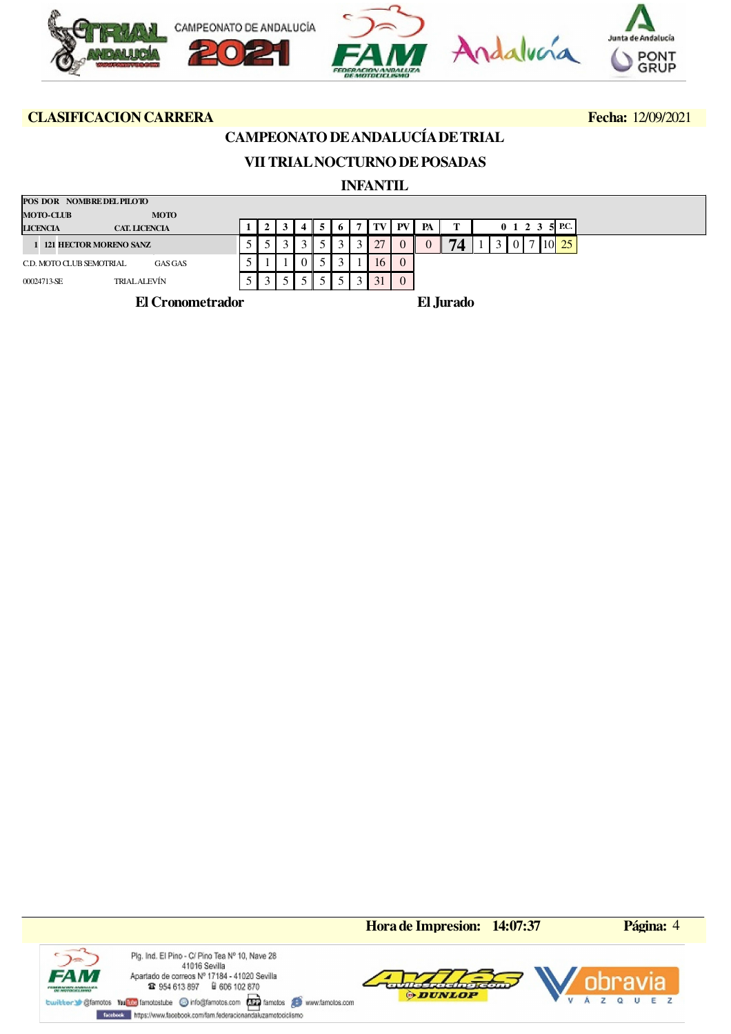

## **CAMPEONATO DE ANDALUCÍA DE TRIAL**

# **VII TRIAL NOCTURNO DE POSADAS**

### **INFANTIL**

| POS DOR NOMBRE DEL PILOTO                  |                          |  |  |  |    |          |    |           |  |              |                     |            |  |
|--------------------------------------------|--------------------------|--|--|--|----|----------|----|-----------|--|--------------|---------------------|------------|--|
| <b>MOTO-CLUB</b><br><b>MOTO</b>            |                          |  |  |  |    |          |    |           |  |              |                     |            |  |
| <b>LICENCIA</b><br><b>CAT. LICENCIA</b>    |                          |  |  |  |    | PV       | PA |           |  |              | $0 \t1 \t2 \t3 \t5$ | P.C.       |  |
| 1 121 HECTOR MORENO SANZ                   | $\overline{\phantom{a}}$ |  |  |  |    |          |    | 74        |  | $\mathbf{r}$ |                     | $10 \, 25$ |  |
| <b>GAS GAS</b><br>C.D. MOTO CLUB SEMOTRIAL | ◡                        |  |  |  | 16 | $\theta$ |    |           |  |              |                     |            |  |
| TRIALALEVÍN<br>00024713-SE                 |                          |  |  |  |    |          |    |           |  |              |                     |            |  |
| El Cronometrador                           |                          |  |  |  |    |          |    | El Jurado |  |              |                     |            |  |

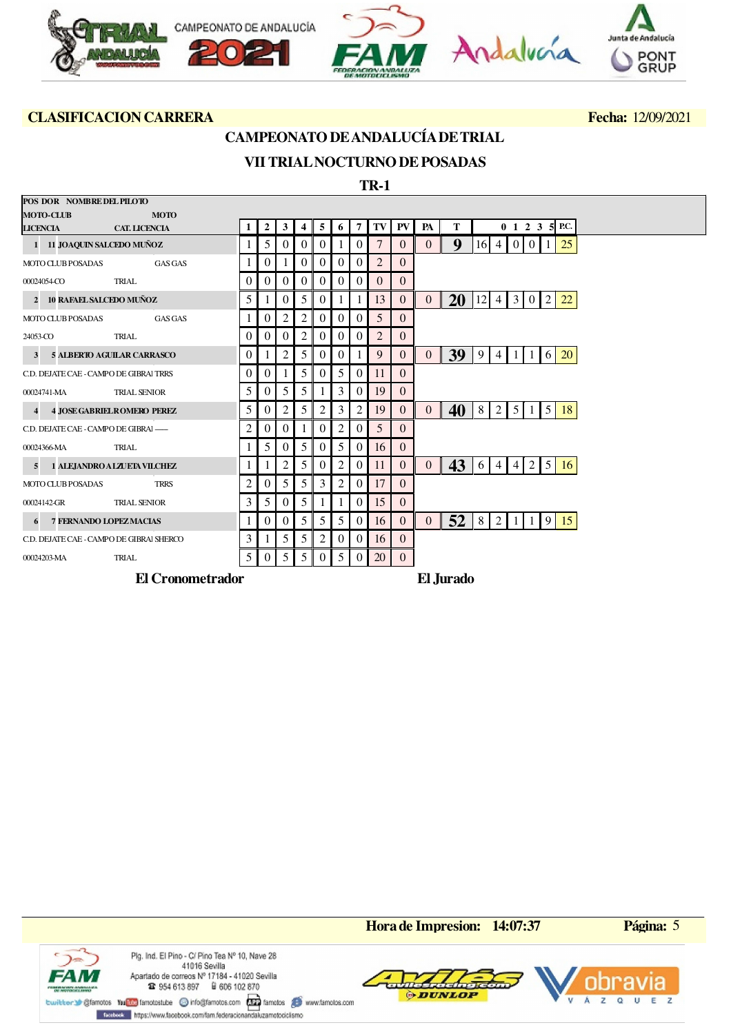

### **CAMPEONATO DE ANDALUCÍA DE TRIAL**

## **VII TRIAL NOCTURNO DE POSADAS**

 **TR-1**

| POS DOR NOMBRE DEL PILOTO                |                                    |   |                |                |          |          |          |          |                |                |                |           |     |                 |                 |          |                |                          |  |
|------------------------------------------|------------------------------------|---|----------------|----------------|----------|----------|----------|----------|----------------|----------------|----------------|-----------|-----|-----------------|-----------------|----------|----------------|--------------------------|--|
| <b>MOTO-CLUB</b>                         | <b>MOTO</b>                        |   |                |                |          |          |          |          |                |                |                |           |     |                 |                 |          |                |                          |  |
| <b>LICENCIA</b>                          | <b>CAT. LICENCIA</b>               |   | 2              | 3              | 4        | 5        | 6        | 7        | TV I           | PV             | PA             | Т         |     |                 |                 |          |                | $0 \t1 \t2 \t3 \t5$ P.C. |  |
| 1 11 JOAQUIN SALCEDO MUÑOZ               |                                    |   | 5              | $\Omega$       | $\left($ | 0        |          | $\theta$ | 7              | $\Omega$       | $\theta$       | 9         | 16I | $\overline{4}$  | $\vert 0 \vert$ | $\Omega$ |                | 25                       |  |
| <b>MOTO CLUB POSADAS</b>                 | <b>GAS GAS</b>                     |   | 0              |                | $\theta$ | $\theta$ | $\Omega$ | $\theta$ | $\overline{2}$ | $\Omega$       |                |           |     |                 |                 |          |                |                          |  |
| 00024054-CO                              | TRIAL                              |   | $\Omega$       | $\Omega$       | $\left($ | $\theta$ | $\Omega$ | $\theta$ | 0              | $\theta$       |                |           |     |                 |                 |          |                |                          |  |
| 2 10 RAFAEL SALCEDO MUÑOZ                |                                    | 5 |                | $\Omega$       | 5        | $\Omega$ |          | 1        | 13             | $\overline{0}$ | $\overline{0}$ | <b>20</b> | 12  | $\vert 4 \vert$ | 3 0             |          | 2              | 22                       |  |
| <b>MOTO CLUB POSADAS</b>                 | <b>GAS GAS</b>                     |   | 0              | 2              | 2        | 0        | $\Omega$ | $\theta$ | 5              | $\theta$       |                |           |     |                 |                 |          |                |                          |  |
| 24053-CO                                 | <b>TRIAL</b>                       |   | 0              | $\Omega$       | 2        | 0        | $\theta$ | $\theta$ | $\overline{2}$ | $\theta$       |                |           |     |                 |                 |          |                |                          |  |
| 3                                        | <b>5 ALBERTO AGUILAR CARRASCO</b>  | 0 |                | 2              | 5        | 0        | 0        |          | 9              | $\overline{0}$ | $\overline{0}$ | 39        | 9   | $\overline{4}$  |                 |          | 6              | 20                       |  |
| C.D. DEJATE CAE - CAMPO DE GIBRAI TRRS   |                                    | 0 | 0              |                | 5        | $\theta$ | 5        | $\theta$ | 11             | $\theta$       |                |           |     |                 |                 |          |                |                          |  |
| 00024741-MA                              | <b>TRIAL SENIOR</b>                | 5 | $\overline{0}$ | 5              | 5        |          | 3        | $\theta$ | 19             | $\overline{0}$ |                |           |     |                 |                 |          |                |                          |  |
|                                          | <b>4 JOSE GABRIEL ROMERO PEREZ</b> | 5 | $\theta$       | 2              | 5        | 2        | 3        | 2        | 19             | $\theta$       | $\overline{0}$ | 40        | 8   | 2               | 5               |          | 5 <sup>5</sup> | 18                       |  |
| C.D. DEJATE CAE - CAMPO DE GIBRAI -      |                                    | 2 | 0              | $\overline{0}$ |          | $\theta$ | 2        | $\theta$ | 5              | $\Omega$       |                |           |     |                 |                 |          |                |                          |  |
| 00024366-MA                              | TRIAL                              |   | 5              | $\overline{0}$ | 5        | $\theta$ | 5        | $\theta$ | 16             | $\overline{0}$ |                |           |     |                 |                 |          |                |                          |  |
|                                          | 1 ALEJANDRO A LZUETA VILCHEZ       |   |                | 2              | 5        | 0        | 2        | $\theta$ | 11             | $\overline{0}$ | $\overline{0}$ | 43        | 6   | $\overline{4}$  | $\overline{4}$  | 2        | 5 <sup>1</sup> | <sup>16</sup>            |  |
| <b>MOTO CLUB POSADAS</b>                 | <b>TRRS</b>                        | 2 | 0              | 5              | 5        | 3        | 2        | $\theta$ | 17             | $\theta$       |                |           |     |                 |                 |          |                |                          |  |
| 00024142-GR                              | <b>TRIAL SENIOR</b>                | 3 | 5              | $\overline{0}$ | 5        |          |          | $\theta$ | 15             | $\overline{0}$ |                |           |     |                 |                 |          |                |                          |  |
|                                          | <b>7 FERNANDO LOPEZ MACIAS</b>     |   | 0              | $\overline{0}$ | 5        | 5        | 5        | $\theta$ | 16             | $\overline{0}$ | $\overline{0}$ | 52        | 8   | 2               |                 |          | 9              | 15                       |  |
| C.D. DEJATE CAE - CAMPO DE GIBRAI SHERCO |                                    | 3 |                | 5              | 5        | 2        | 0        | $\theta$ | 16             | $\overline{0}$ |                |           |     |                 |                 |          |                |                          |  |
| 00024203-MA                              | TRIAL                              | 5 | 0              | 5              | 5        | $\theta$ | 5        | $\theta$ | 20             | $\overline{0}$ |                |           |     |                 |                 |          |                |                          |  |
|                                          | <b>El Cronometrador</b>            |   |                |                |          |          |          |          |                |                |                | El Jurado |     |                 |                 |          |                |                          |  |

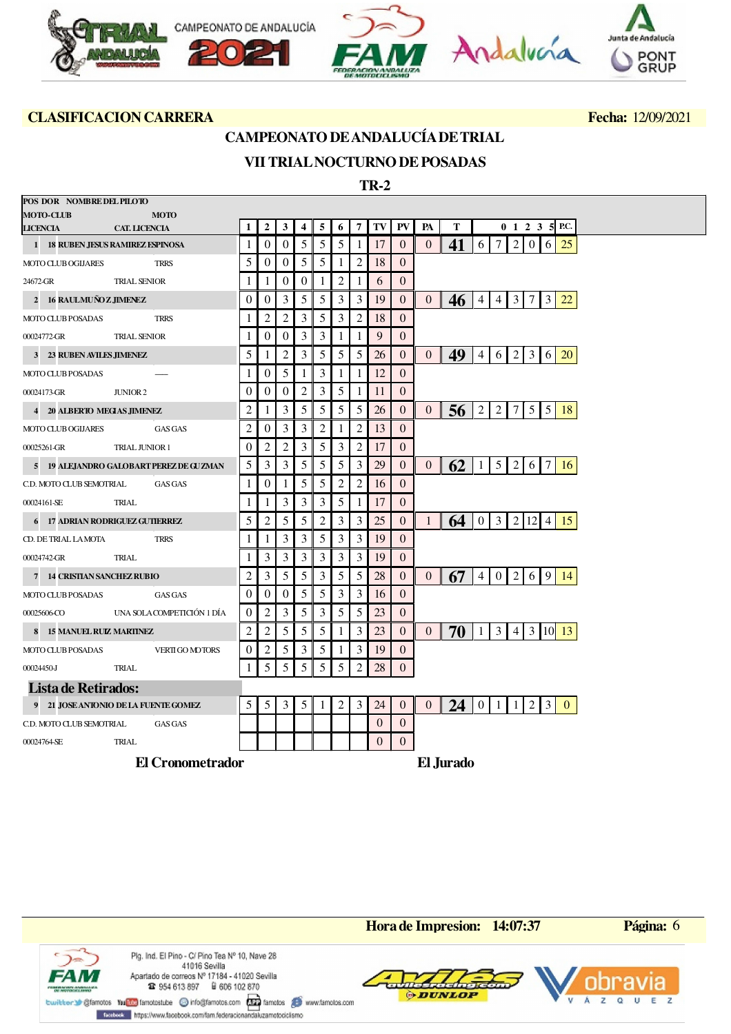

### **CAMPEONATO DE ANDALUCÍA DE TRIAL**

## **VII TRIAL NOCTURNO DE POSADAS**

 **TR-2**

| POS DOR NOMBRE DEL PILOTO                               |                                         |                  |                      |                              |                |                |                |                |                |                          |                |                 |                |                 |   |                        |                |                |                            |  |
|---------------------------------------------------------|-----------------------------------------|------------------|----------------------|------------------------------|----------------|----------------|----------------|----------------|----------------|--------------------------|----------------|-----------------|----------------|-----------------|---|------------------------|----------------|----------------|----------------------------|--|
| <b>MOTO-CLUB</b>                                        | <b>MOTO</b>                             | 1                | $\overline{2}$       | 3                            | 4              | 5              | 6              | $\overline{7}$ | TV             | PV                       | PA             | T               |                |                 |   |                        |                |                | $0 \t1 \t2 \t3 \t5$ P.C.   |  |
| LICENCIA CAT. LICENCIA                                  |                                         |                  |                      |                              |                | 5              | 5              |                |                |                          |                |                 | 6              | $\tau$          | 2 |                        | $\overline{0}$ | 6 <sup>1</sup> |                            |  |
| 1 18 RUBEN JESUS RAMIREZ ESPINOSA<br>MOTO CLUB OGIJARES | TRRS                                    | 1<br>5           | $\theta$<br>$\theta$ | $\mathbf{0}$<br>$\mathbf{0}$ | 5<br>5         | 5              | -1             | $\overline{2}$ | 17<br>18       | $\theta$<br>$\mathbf{0}$ | $\overline{0}$ | 41              |                |                 |   |                        |                |                | 25                         |  |
|                                                         |                                         |                  | 1                    | $\mathbf{0}$                 | $\theta$       |                | $\overline{2}$ |                |                | $\overline{0}$           |                |                 |                |                 |   |                        |                |                |                            |  |
| 24672-GR                                                | <b>TRIAL SENIOR</b>                     | 1                |                      |                              |                | 1              |                |                | 6              |                          |                |                 |                |                 |   |                        |                |                |                            |  |
| 2 16 RAULMUÑO Z JIMENEZ                                 |                                         | $\overline{0}$   | $\overline{0}$       | 3                            | 5              | 5              | 3              | 3              | 19             | $\overline{0}$           | $\theta$       | 46              | 4 <sup>1</sup> | 4               |   | $3 \mid 7 \mid 3$      |                |                | 22                         |  |
| <b>MOTO CLUB POSADAS</b>                                | <b>TRRS</b>                             | 1                | $\overline{c}$       | $\mathfrak{2}$               | 3              | 5              | 3              | $\overline{c}$ | 18             | $\theta$                 |                |                 |                |                 |   |                        |                |                |                            |  |
| 00024772-GR                                             | <b>TRIAL SENIOR</b>                     | 1                | $\mathbf{0}$         | $\mathbf{0}$                 | 3              | 3              | -1             | 1              | 9              | $\overline{0}$           |                |                 |                |                 |   |                        |                |                |                            |  |
| 3 23 RUBEN AVILES JIMENEZ                               |                                         | 5                | 1                    | 2                            | 3              | 5              | 5              | 5              | 26             | $\overline{0}$           | $\overline{0}$ | 49              | $\overline{4}$ | 6               |   | $2 \mid 3 \mid 6 \mid$ |                |                | <b>20</b>                  |  |
| <b>MOTO CLUB POSADAS</b>                                |                                         | 1                | 0                    | 5                            | 1              | 3              | -1             | 1              | 12             | $\Omega$                 |                |                 |                |                 |   |                        |                |                |                            |  |
| 00024173-GR                                             | JUNIOR 2                                | 0                | $\overline{0}$       | $\theta$                     | $\overline{c}$ | 3              | 5              | 1              | 11             | $\overline{0}$           |                |                 |                |                 |   |                        |                |                |                            |  |
| 4 20 ALBERTO MEGIAS JIMENEZ                             |                                         | 2                | 1                    | 3                            | 5              | 5              | 5              | 5              | 26             | $\overline{0}$           | $\overline{0}$ | 56              | 2              | $\overline{2}$  |   |                        |                |                | 7 5 5 18                   |  |
| <b>MOTO CLUB OGIJARES</b>                               | <b>GAS GAS</b>                          | $\overline{c}$   | $\boldsymbol{0}$     | 3                            | 3              | $\overline{2}$ | -1             | $\overline{2}$ | 13             | $\mathbf{0}$             |                |                 |                |                 |   |                        |                |                |                            |  |
| 00025261-GR                                             | <b>TRIAL JUNIOR 1</b>                   | $\boldsymbol{0}$ | $\overline{c}$       | $\overline{c}$               | 3              | 5              | 3              | $\overline{c}$ | 17             | $\theta$                 |                |                 |                |                 |   |                        |                |                |                            |  |
|                                                         | 5 19 ALEJANDRO GALOBART PEREZ DE GUZMAN | 5                | 3                    | 3                            | 5              | 5              | 5              | 3              | 29             | $\theta$                 | $\overline{0}$ | 62              | <sup>1</sup>   |                 |   | 5 2 6 7                |                |                | <sup>16</sup>              |  |
| C.D. MOTO CLUB SEMOTRIAL                                | <b>GAS GAS</b>                          | 1                | $\theta$             | $\mathbf{1}$                 | 5              | 5              | $\overline{2}$ | $\overline{c}$ | 16             | $\theta$                 |                |                 |                |                 |   |                        |                |                |                            |  |
| 00024161-SE TRIAL                                       |                                         | 1                | 1                    | 3                            | 3              | 3              | 5              | 1              | 17             | $\mathbf{0}$             |                |                 |                |                 |   |                        |                |                |                            |  |
| 6 17 ADRIAN RODRIGUEZ GUTIERREZ                         |                                         | 5                | $\overline{c}$       | 5                            | 5              | $\overline{2}$ | 3              | 3              | 25             | $\mathbf{0}$             | $\mathbf{1}$   | 64 <sup>1</sup> |                |                 |   |                        |                |                | $0$ 3 2 12 4 15            |  |
| CD. DE TRIAL LAMOTA                                     | <b>TRRS</b>                             | 1                | 1                    | 3                            | 3              | 5              | 3              | 3              | 19             | $\mathbf{0}$             |                |                 |                |                 |   |                        |                |                |                            |  |
| 00024742-GR                                             | TRIAL                                   | 1                | 3                    | 3                            | 3              | 3              | 3              | 3              | 19             | $\Omega$                 |                |                 |                |                 |   |                        |                |                |                            |  |
| 7 14 CRISTIAN SANCHEZ RUBIO                             |                                         | $\overline{c}$   | 3                    | 5                            | 5              | 3              | 5              | 5              | 28             | $\mathbf{0}$             | $\overline{0}$ | 67              | $4 \mid$       | $\vert 0 \vert$ |   |                        |                |                | 2   6   9   14             |  |
| <b>MOTO CLUB POSADAS</b>                                | <b>GAS GAS</b>                          | $\mathbf{0}$     | $\overline{0}$       | $\boldsymbol{0}$             | 5              | 5              | 3              | 3              | 16             | $\mathbf{0}$             |                |                 |                |                 |   |                        |                |                |                            |  |
| 00025606-CO                                             | UNA SOLACOMPETICIÓN 1 DÍA               | $\boldsymbol{0}$ | $\overline{c}$       | 3                            | 5              | 3              | 5              | 5              | 23             | $\overline{0}$           |                |                 |                |                 |   |                        |                |                |                            |  |
| 8 15 MANUEL RUIZ MARTINEZ                               |                                         | 2                | $\overline{2}$       | 5                            | 5              | 5              | -1             | 3              | 23             | $\overline{0}$           | $\overline{0}$ | 70              | -1             | 3 <sup>1</sup>  |   |                        |                |                | $4 \mid 3 \mid 10 \mid 13$ |  |
| <b>MOTO CLUB POSADAS</b>                                | VERTI GO MOTORS                         | $\theta$         | $\overline{c}$       | 5                            | 3              | 5              | -1             | 3              | 19             | $\theta$                 |                |                 |                |                 |   |                        |                |                |                            |  |
| 00024450-J TRIAL                                        |                                         | $\mathbf{1}$     | 5                    | 5                            | 5              | 5              | 5              | $\overline{c}$ | 28             | $\mathbf{0}$             |                |                 |                |                 |   |                        |                |                |                            |  |
| <b>Lista de Retirados:</b>                              |                                         |                  |                      |                              |                |                |                |                |                |                          |                |                 |                |                 |   |                        |                |                |                            |  |
|                                                         | 9 21 JOSE ANIONIO DE LA FUENTE GOMEZ    | 5                | 5                    | 3                            | 5              |                | $\overline{2}$ | 3              | 24             | $\mathbf{0}$             | $\mathbf{0}$   | 24  0 1 1 2 3   |                |                 |   |                        |                |                | $\overline{0}$             |  |
| C.D. MOTO CLUB SEMOTRIAL                                | <b>GAS GAS</b>                          |                  |                      |                              |                |                |                |                | $\Omega$       | $\overline{0}$           |                |                 |                |                 |   |                        |                |                |                            |  |
| 00024764-SE                                             | TRIAL                                   |                  |                      |                              |                |                |                |                | $\overline{0}$ | $\mathbf{0}$             |                |                 |                |                 |   |                        |                |                |                            |  |
|                                                         | <b>El Cronometrador</b>                 |                  |                      |                              |                |                |                |                |                |                          | El Jurado      |                 |                |                 |   |                        |                |                |                            |  |



Plg. Ind. El Pino - C/ Pino Tea Nº 10, Nave 28 41016 Sevilla Apartado de correos Nº 17184 - 41020 Sevilla **12** 954 613 897 **a** 606 102 870







twitter Sigfanotos Yundos Tandostube @ info@fanotos.com and famotos @ www.famotos.com Forebook https://www.facebook.com/fam.federacionandaluzamotociclismo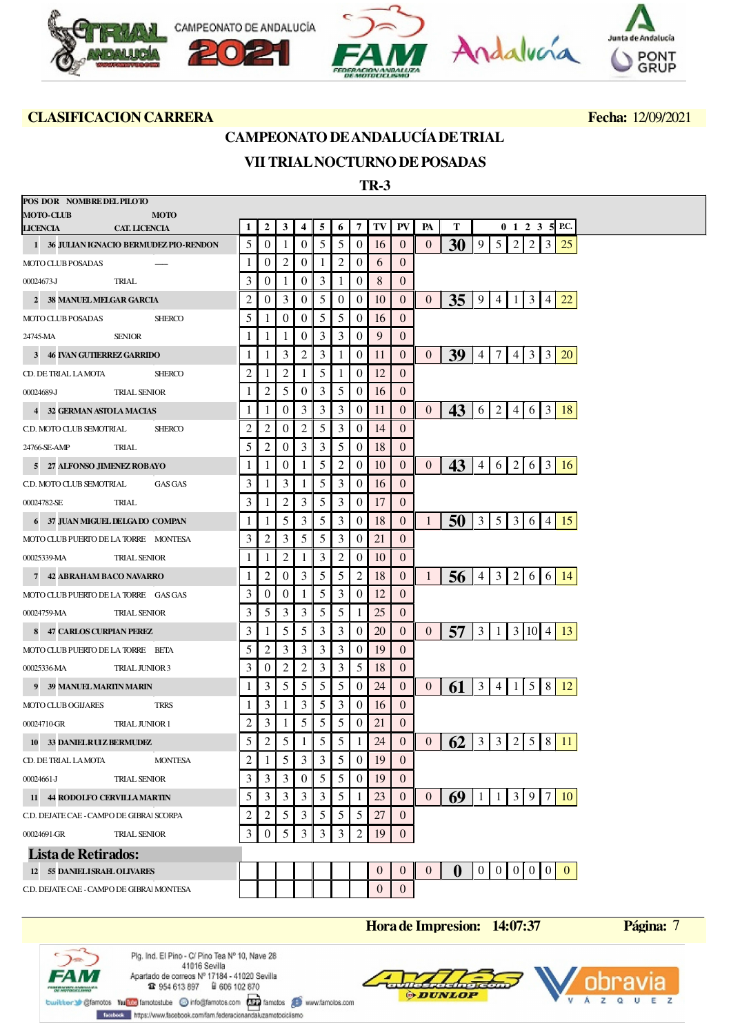

# **CAMPEONATO DE ANDALUCÍA DE TRIAL**

## **VII TRIAL NOCTURNO DE POSADAS**

 **TR-3**

| POS DOR NOMBRE DEL PILOTO<br><b>MOTO-CLUB</b> |                       |                |   |                  |                  |                  |    |          |          |    |                |                                                                                                     |
|-----------------------------------------------|-----------------------|----------------|---|------------------|------------------|------------------|----|----------|----------|----|----------------|-----------------------------------------------------------------------------------------------------|
| LICENCIA CAT. LICENCIA                        | <b>MOTO</b>           |                | 1 | $\overline{2}$   | 3                | 4                | 5  | 6        | 7        | TV | PV             | Т<br>$0 \t1 \t2 \t3 \t5$ P.C.<br>PA                                                                 |
| 1 36 JULIAN IGNACIO BERMUDEZ PIO-RENDON       |                       |                | 5 | $\theta$         | -1               | $\theta$         | 5  | 5        | $\theta$ | 16 | $\theta$       | 30<br>9<br>5<br>2<br>2<br>3<br>25<br>$\overline{0}$                                                 |
| <b>MOTO CLUB POSADAS</b>                      |                       |                | 1 | $\theta$         | 2                | $\overline{0}$   | -1 | 2        | $\theta$ | 6  | $\overline{0}$ |                                                                                                     |
| 00024673-J                                    | TRIAL                 |                | 3 | $\theta$         | -1               | $\theta$         | 3  |          | 0        | 8  | $\overline{0}$ |                                                                                                     |
| 2 38 MANUEL MELGAR GARCIA                     |                       |                | 2 | $\boldsymbol{0}$ | 3                | $\overline{0}$   | 5  | $\theta$ | $\theta$ | 10 | $\mathbf{0}$   | 35<br>$\overline{0}$<br>  9<br>$\vert 3 \vert$<br><b>22</b><br> 4 <br>-1<br>4                       |
| <b>MOTO CLUB POSADAS</b>                      |                       | <b>SHERCO</b>  | 5 | 1                | $\boldsymbol{0}$ | $\overline{0}$   | 5  | 5        | $\theta$ | 16 | $\overline{0}$ |                                                                                                     |
| 24745-MA                                      | SENIOR                |                | 1 | 1                | -1               | $\overline{0}$   | 3  | 3        | $\theta$ | 9  | $\overline{0}$ |                                                                                                     |
| 3 46 IVAN GUTIERREZ GARRIDO                   |                       |                | 1 | 1                | 3                | $\overline{2}$   | 3  |          | 0        | 11 | $\overline{0}$ | 39<br>$\tau$<br>$4 \mid 3$<br>$\overline{3}$<br><b>20</b><br>$\overline{0}$<br>$\overline{4}$       |
| CD. DE TRIAL LAMOTA                           |                       | <b>SHERCO</b>  | 2 | -1               | 2                | 1                | 5  | 1        | $\theta$ | 12 | $\overline{0}$ |                                                                                                     |
| 00024689-J TRIAL SENIOR                       |                       |                | 1 | $\overline{2}$   | 5                | $\overline{0}$   | 3  | 5        | $\theta$ | 16 | $\theta$       |                                                                                                     |
| 4 32 GERMAN ASTOLA MACIAS                     |                       |                | 1 | -1               | $\boldsymbol{0}$ | 3                | 3  | 3        | $\theta$ | 11 | $\mathbf{0}$   | 43<br>6 2 <br>$3 \mid 18$<br>$\overline{0}$<br>4 6                                                  |
| C.D. MOTO CLUB SEMOTRIAL                      |                       | <b>SHERCO</b>  | 2 | $\overline{2}$   | $\theta$         | $\overline{2}$   | 5  | 3        | $\theta$ | 14 | $\overline{0}$ |                                                                                                     |
| 24766-SE-AMP                                  | TRIAL                 |                | 5 | $\overline{2}$   | $\boldsymbol{0}$ | 3                | 3  | 5        | $\theta$ | 18 | $\mathbf{0}$   |                                                                                                     |
| 5 27 ALFONSO JIMENEZ ROBAYO                   |                       |                | 1 | 1                | $\theta$         | 1                | 5  | 2        | $\theta$ | 10 | $\overline{0}$ | 43<br>2   6   3  <br>$\overline{0}$<br>$\vert 4 \vert$<br>6<br><sup>16</sup>                        |
| C.D. MOTO CLUB SEMOTRIAL                      |                       | <b>GAS GAS</b> | 3 | 1                | 3                | 1                | 5  | 3        | $\theta$ | 16 | $\theta$       |                                                                                                     |
| 00024782-SE                                   | TRIAL                 |                | 3 | 1                | 2                | 3                | 5  | 3        | $\theta$ | 17 | $\theta$       |                                                                                                     |
| 6 37 JUAN MIGUEL DELGA DO COMPAN              |                       |                | 1 | 1                | 5                | 3                | 5  | 3        | $\theta$ | 18 | $\overline{0}$ | 50<br>$3 \mid 5 \mid$<br>3 6 4 15<br>1                                                              |
| MOTO CLUB PUERTO DE LA TORRE MONTESA          |                       |                | 3 | $\overline{2}$   | 3                | 5                | 5  | 3        | 0        | 21 | $\theta$       |                                                                                                     |
| 00025339-MA TRIAL SENIOR                      |                       |                | 1 | 1                | $\overline{2}$   | 1                | 3  | 2        | $\theta$ | 10 | $\overline{0}$ |                                                                                                     |
| 7 42 ABRAHAM BACO NAVARRO                     |                       |                | 1 | $\overline{2}$   | $\theta$         | 3                | 5  | 5        | 2        | 18 | $\overline{0}$ | $\vert 3 \vert$<br>2   6   6   14<br>56<br>1<br>$\overline{4}$                                      |
| MOTO CLUB PUERTO DE LA TORRE GAS GAS          |                       |                | 3 | $\boldsymbol{0}$ | $\boldsymbol{0}$ | 1                | 5  | 3        | $\theta$ | 12 | $\theta$       |                                                                                                     |
| 00024759-MA TRIAL SENIOR                      |                       |                | 3 | 5                | 3                | 3                | 5  | 5        | 1        | 25 | $\theta$       |                                                                                                     |
| 8 47 CARLOS CURPIAN PEREZ                     |                       |                | 3 | 1                | 5                | 5                | 3  | 3        | $\theta$ | 20 | $\overline{0}$ | 57<br>3 10 4 13<br>3 <sup>1</sup><br>$\overline{0}$<br>$\vert 1 \vert$                              |
| MOTO CLUB PUERTO DE LA TORRE BETA             |                       |                | 5 | 2                | 3                | 3                | 3  | 3        | 0        | 19 | $\overline{0}$ |                                                                                                     |
| 00025336-MA TRIAL JUNIOR 3                    |                       |                | 3 | $\theta$         | 2                | $\overline{2}$   | 3  | 3        | 5        | 18 | $\theta$       |                                                                                                     |
| 9 39 MANUEL MARIIN MARIN                      |                       |                | 1 | 3                | 5                | 5                | 5  | 5        | $\theta$ | 24 | $\overline{0}$ | 61<br>$\mathfrak{Z}$<br>5 <sup>1</sup><br>8<br>$\vert 4 \vert$<br>12<br>$\theta$<br>-1              |
| <b>MOTO CLUB OGIJARES</b>                     | <b>TRRS</b>           |                | 1 | 3                | -1               | 3                | 5  | 3        | $\theta$ | 16 | $\overline{0}$ |                                                                                                     |
| 00024710-GR                                   | <b>TRIAL JUNIOR 1</b> |                | 2 | 3                | -1               | 5                | 5  | 5        | 0        | 21 | $\theta$       |                                                                                                     |
| 10 33 DANIELRUZ BERMUDEZ                      |                       |                | 5 | $\overline{2}$   | 5                | $\mathbf{1}$     | 5  | 5        | 1        | 24 | $\overline{0}$ | 62<br>3   3   2   5   8   11<br>$\overline{0}$                                                      |
| CD. DE TRIAL LAMOTA                           |                       | <b>MONTESA</b> | 2 |                  | 5                | 3                | 3  | 5        | 0        | 19 | $\theta$       |                                                                                                     |
| 00024661-J                                    | <b>TRIAL SENIOR</b>   |                | 3 | 3                | 3                | $\boldsymbol{0}$ | 5  | 5        | $\theta$ | 19 | $\overline{0}$ |                                                                                                     |
| 11 44 RODOLFO CERVILLAMARTIN                  |                       |                | 5 | 3                | 3                | 3                | 3  | 5        |          | 23 | $\theta$       | 69<br>3 9 7 10<br>$\overline{0}$<br>1 1                                                             |
| C.D. DEJATE CAE - CAMPO DE GIBRAI SCORPA      |                       |                | 2 | 2                | 5                | 3                | 5  | 5        | 5        | 27 | $\theta$       |                                                                                                     |
| 00024691-GR                                   | <b>TRIAL SENIOR</b>   |                | 3 | 0                | 5                | 3                | 3  | 3        | 2        | 19 | $\mathbf{0}$   |                                                                                                     |
| <b>Lista de Retirados:</b>                    |                       |                |   |                  |                  |                  |    |          |          |    |                |                                                                                                     |
| 12 55 DANIELISRAEL OLIVARES                   |                       |                |   |                  |                  |                  |    |          |          | 0  | $\mathbf{0}$   | $0 \mid 0 \mid 0$<br>$\overline{0}$<br>$\bf{0}$<br>$\overline{0}$<br>$\overline{0}$<br>$\mathbf{0}$ |
| C.D. DEJATE CAE - CAMPO DE GIBRAI MONTESA     |                       |                |   |                  |                  |                  |    |          |          | 0  | $\mathbf{0}$   |                                                                                                     |

**Hora de Impresion: 14:07:37 Página:** 7

¢ FA N ent angelisari<br>Vocati bero Plg. Ind. El Pino - C/ Pino Tea Nº 10, Nave 28 41016 Sevilla Apartado de correos Nº 17184 - 41020 Sevilla **12** 954 613 897 **a** 606 102 870

building of the Taylor of the Condition of the Condition of the Condition of the Manufacture of the Condition of the Condition of the Condition of the Condition of the Condition of the Condition of the Condition of the Con

Forebook https://www.facebook.com/fam.federacionandaluzamotociclismo



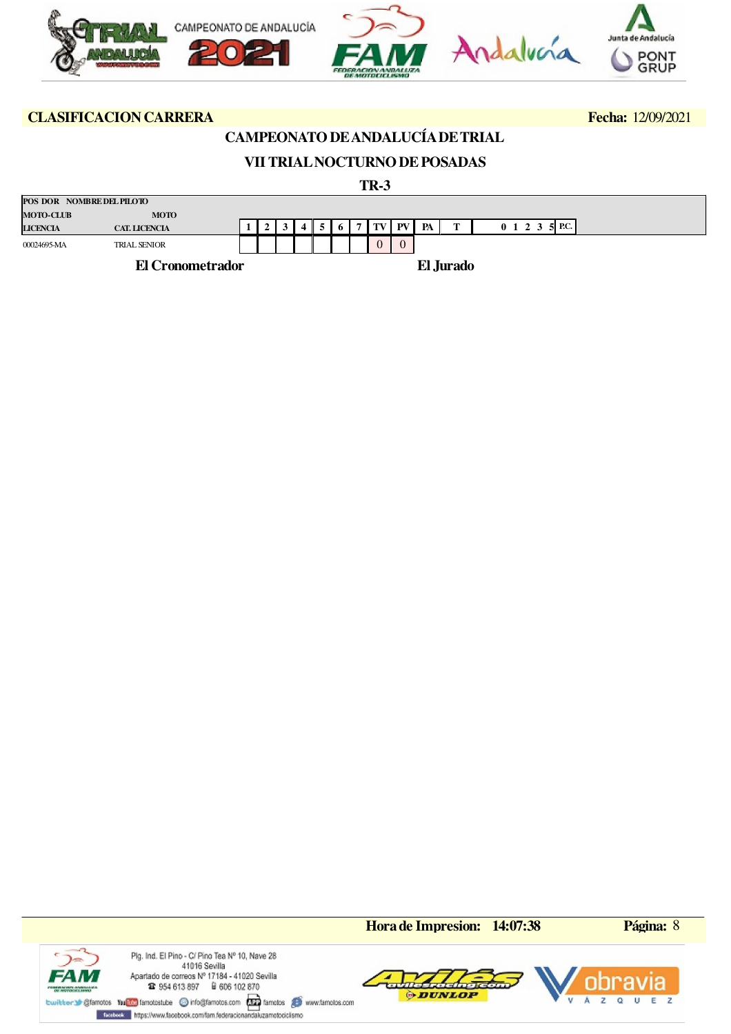

## **CAMPEONATO DE ANDALUCÍA DE TRIAL**

## **VII TRIAL NOCTURNO DE POSADAS**

 **TR-3**

| POS DOR NOMBRE DEL PILOTO |                         |  |  |  |                |                  |    |           |                                |  |
|---------------------------|-------------------------|--|--|--|----------------|------------------|----|-----------|--------------------------------|--|
| <b>MOTO-CLUB</b>          | <b>MOTO</b>             |  |  |  |                |                  |    |           |                                |  |
| <b>LICENCIA</b>           | <b>CAT. LICENCIA</b>    |  |  |  | $\overline{ }$ | $\  TV \  PV \ $ | PA | m         | <b>P.C.</b><br>$0 \t1 \t2 \t3$ |  |
| 00024695-MA               | <b>TRIAL SENIOR</b>     |  |  |  |                | $\Omega$         |    |           |                                |  |
|                           | <b>El Cronometrador</b> |  |  |  |                |                  |    | El Jurado |                                |  |

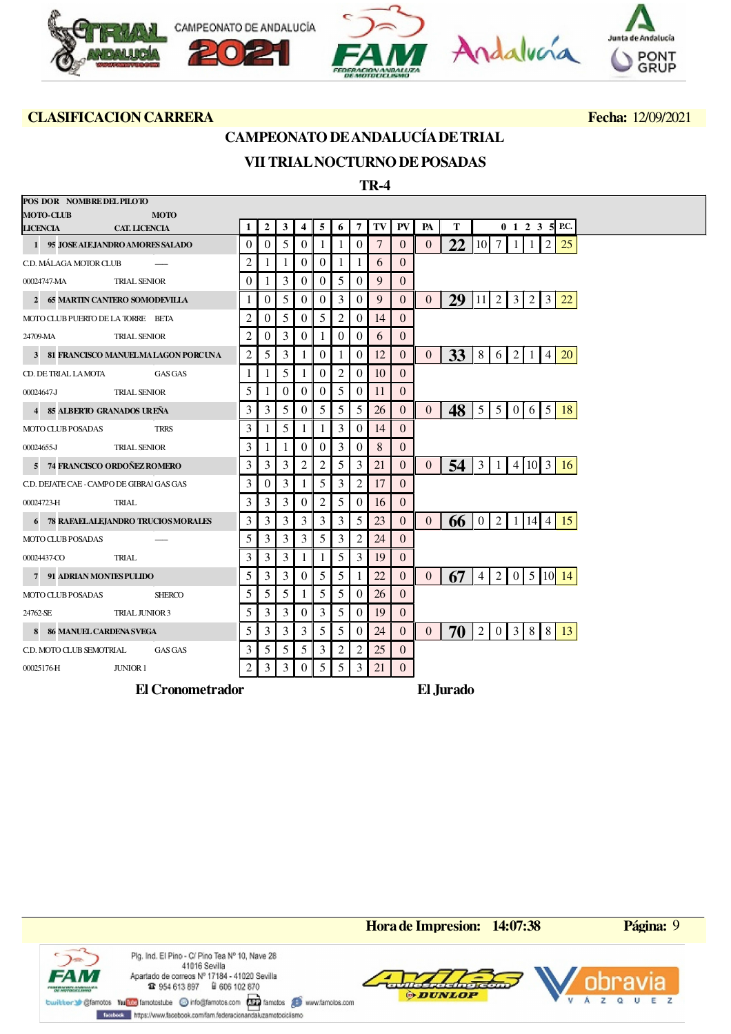

### **CAMPEONATO DE ANDALUCÍA DE TRIAL**

## **VII TRIAL NOCTURNO DE POSADAS**

 **TR-4**

| POS DOR NOMBRE DEL PILOTO                                              |                |              |                |                |                |                |                  |                |                |                |                                     |                |                 |                   |       |                |                          |
|------------------------------------------------------------------------|----------------|--------------|----------------|----------------|----------------|----------------|------------------|----------------|----------------|----------------|-------------------------------------|----------------|-----------------|-------------------|-------|----------------|--------------------------|
| <b>MOTO-CLUB</b><br><b>MOTO</b>                                        | 1              | $\mathbf{2}$ | 3              | $\overline{4}$ | 5              |                | 7                | TV             | ${\bf PV}$     | PA             | T                                   |                |                 |                   |       |                | $0 \t1 \t2 \t3 \t5$ P.C. |
| <b>CAT. LICENCIA</b><br>LICENCIA<br>1 95 JOSE ALE JANDRO AMORES SALADO | $\Omega$       | 0            | 5              | $\overline{0}$ | -1             | 6<br>1         | $\Omega$         | $\overline{7}$ | $\Omega$       | $\theta$       | 22 10                               |                | 7 <sup>1</sup>  |                   |       | 2              | 25                       |
|                                                                        | $\overline{2}$ |              |                | $\overline{0}$ | $\overline{0}$ |                |                  |                | $\Omega$       |                |                                     |                |                 |                   |       |                |                          |
| C.D. MÁLAGA MOTOR CLUB                                                 |                |              |                |                |                |                |                  | 6              |                |                |                                     |                |                 |                   |       |                |                          |
| 00024747-MA<br><b>TRIAL SENIOR</b>                                     | $\Omega$       |              | 3              | $\Omega$       | $\theta$       | 5              | $\Omega$         | 9              | $\Omega$       |                |                                     |                |                 |                   |       |                |                          |
| 2 65 MARTIN CANTERO SOMODEVILLA                                        |                | 0            | 5              | $\overline{0}$ | $\overline{0}$ | 3              | $\theta$         | 9              | $\theta$       | $\overline{0}$ | 29   11   2   3   2   3             |                |                 |                   |       |                | 22                       |
| MOTO CLUB PUERTO DE LA TORRE BETA                                      | $\overline{2}$ | 0            | 5              | $\overline{0}$ | 5              | 2              | $\boldsymbol{0}$ | 14             | $\overline{0}$ |                |                                     |                |                 |                   |       |                |                          |
| <b>TRIAL SENIOR</b><br>24709-MA                                        | 2              | 0            | 3              | $\overline{0}$ | 1              | $\overline{0}$ | $\theta$         | 6              | $\overline{0}$ |                |                                     |                |                 |                   |       |                |                          |
| 3 81 FRANCISCO MANUELMALAGON PORCUNA                                   | 2              | 5            | 3              | $\mathbf{1}$   | $\overline{0}$ |                | $\theta$         | 12             | $\overline{0}$ | $\overline{0}$ | <b>33</b>                           | 8 I            | <sup>6</sup>    | 2                 | $\pm$ | $\overline{4}$ | 20                       |
| CD. DE TRIAL LAMOTA<br><b>GAS GAS</b>                                  | 1              |              | 5              | 1              | $\theta$       | 2              | $\Omega$         | 10             | $\Omega$       |                |                                     |                |                 |                   |       |                |                          |
| <b>TRIAL SENIOR</b><br>00024647-J                                      | 5              | 1            | $\overline{0}$ | $\overline{0}$ | $\mathbf{0}$   | 5              | $\boldsymbol{0}$ | 11             | $\mathbf{0}$   |                |                                     |                |                 |                   |       |                |                          |
| 4 85 ALBERTO GRANADOS UREÑA                                            | 3              | 3            | 5              | $\Omega$       | 5              | 5              | 5                | 26             | $\Omega$       | $\Omega$       | $48$   5   5   0   6   5            |                |                 |                   |       |                | 18                       |
| <b>MOTO CLUB POSADAS</b><br><b>TRRS</b>                                | 3              | 1            | 5              | 1              | 1              | 3              | $\theta$         | 14             | $\Omega$       |                |                                     |                |                 |                   |       |                |                          |
| <b>TRIAL SENIOR</b><br>00024655-J                                      | 3              | 1            | 1              | $\Omega$       | $\theta$       | 3              | $\Omega$         | 8              | $\Omega$       |                |                                     |                |                 |                   |       |                |                          |
| 5 74 FRANCISCO ORDOÑEZ ROMERO                                          | 3              | 3            | 3              | 2              | 2              | 5              | 3                | 21             | 0              | $\overline{0}$ | $\frac{54}{3}$   3   1   4   10   3 |                |                 |                   |       |                | 16                       |
| C.D. DEJATE CAE - CAMPO DE GIBRAI GAS GAS                              | 3              | 0            | 3              |                | 5              | 3              | $\overline{2}$   | 17             | $\Omega$       |                |                                     |                |                 |                   |       |                |                          |
| 00024723-H<br>TRIAL                                                    | 3              | 3            | 3              | $\overline{0}$ | $\overline{2}$ | 5              | $\boldsymbol{0}$ | 16             | $\overline{0}$ |                |                                     |                |                 |                   |       |                |                          |
| 6 78 RAFAELALEJANDRO TRUCIOS MORALES                                   | 3              | 3            | 3              | 3              | 3              | 3              | 5                | 23             | $\overline{0}$ | $\Omega$       | 66                                  |                | $0 \mid 2 \mid$ |                   |       | 1   14   4     | -15                      |
| <b>MOTO CLUB POSADAS</b>                                               | 5              | 3            | 3              | 3              | 5              | 3              | 2                | 24             | $\overline{0}$ |                |                                     |                |                 |                   |       |                |                          |
| 00024437-CO<br>TRIAL                                                   | 3              | 3            | 3              | 1              | 1              | 5              | 3                | 19             | $\Omega$       |                |                                     |                |                 |                   |       |                |                          |
| 7 91 ADRIAN MONTES PULIDO                                              | 5              | 3            | 3              | $\overline{0}$ | 5              | 5              | 1                | 22             | 0              | $\overline{0}$ | 67                                  | $\overline{4}$ |                 |                   |       |                | 2   0   5   10   14      |
| <b>MOTO CLUB POSADAS</b><br><b>SHERCO</b>                              | 5              | 5            | 5              | 1              | 5              | 5              | $\theta$         | 26             | $\Omega$       |                |                                     |                |                 |                   |       |                |                          |
| 24762-SE<br><b>TRIAL JUNIOR 3</b>                                      | 5              | 3            | 3              | $\overline{0}$ | 3              | 5              | $\theta$         | 19             | 0              |                |                                     |                |                 |                   |       |                |                          |
|                                                                        |                |              | 3              |                |                |                |                  | 24             |                |                |                                     |                |                 |                   |       |                |                          |
| 8 86 MANUEL CARDENA SVEGA                                              | 5              | 3            |                | 3              | 5              | 5              | $\Omega$         |                | $\Omega$       | $\overline{0}$ | 70                                  | 2              |                 | $0 \mid 3 \mid 8$ |       | 8              | -13                      |
| C.D. MOTO CLUB SEMOTRIAL<br><b>GAS GAS</b>                             | 3              | 5            | 5              | 5 <sup>5</sup> | $\mathfrak{Z}$ | 2              | 2                | 25             | $\overline{0}$ |                |                                     |                |                 |                   |       |                |                          |
| 00025176-H<br>JUNIOR 1                                                 | $\overline{2}$ | 3            | 3              | $\overline{0}$ | 5              | 5              | 3                | 21             | $\overline{0}$ |                |                                     |                |                 |                   |       |                |                          |
| <b>El Cronometrador</b>                                                |                |              |                |                |                |                |                  |                |                |                | El Jurado                           |                |                 |                   |       |                |                          |

¢ **FAM DE MONTOCATA EN 1980** 

Plg. Ind. El Pino - C/ Pino Tea Nº 10, Nave 28 41016 Sevilla Apartado de correos Nº 17184 - 41020 Sevilla **12** 954 613 897 **a** 606 102 870

twitter Sigfanotos Yundos Tandostube @ info@fanotos.com and famotos @ www.famotos.com

Forebook https://www.facebook.com/fam.federacionandaluzamotociclismo

**Hora de Impresion: 14:07:38 Página:** 9